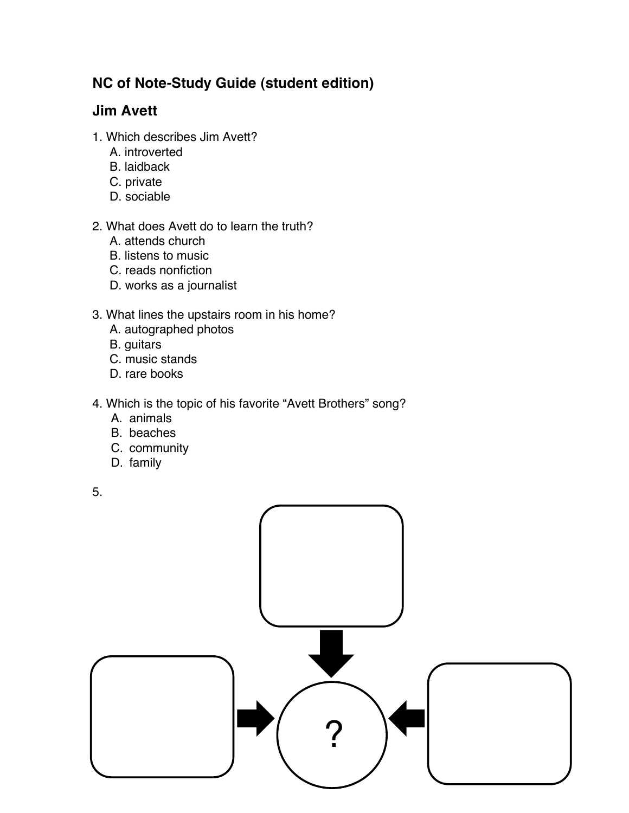# **NC of Note-Study Guide (student edition)**

# **Jim Avett**

- 1. Which describes Jim Avett?
	- A. introverted
	- B. laidback
	- C. private
	- D. sociable

### 2. What does Avett do to learn the truth?

- A. attends church
- B. listens to music
- C. reads nonfiction
- D. works as a journalist

## 3. What lines the upstairs room in his home?

- A. autographed photos
- B. guitars
- C. music stands
- D. rare books

### 4. Which is the topic of his favorite "Avett Brothers" song?

- A. animals
- B. beaches
- C. community
- D. family

5.

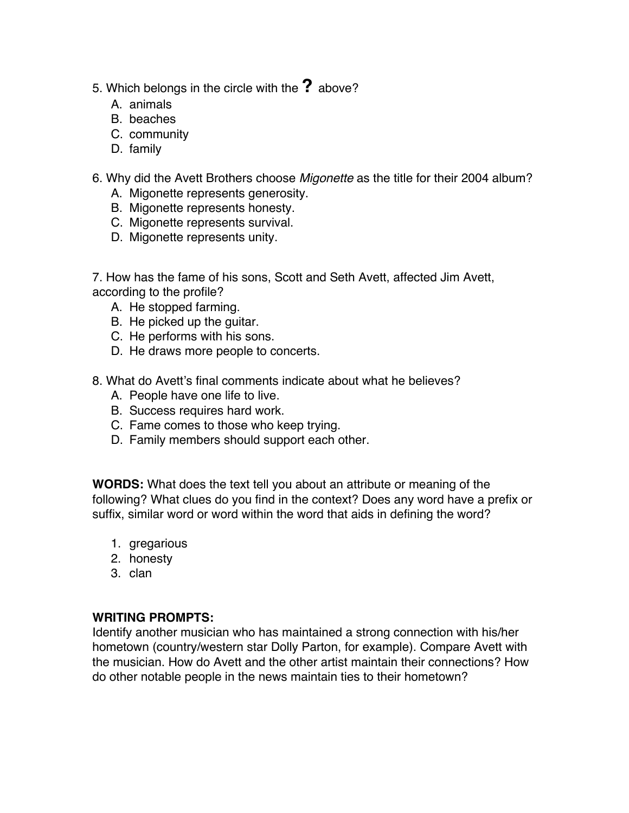- 5. Which belongs in the circle with the **?** above?
	- A. animals
	- B. beaches
	- C. community
	- D. family
- 6. Why did the Avett Brothers choose *Migonette* as the title for their 2004 album?
	- A. Migonette represents generosity.
	- B. Migonette represents honesty.
	- C. Migonette represents survival.
	- D. Migonette represents unity.

7. How has the fame of his sons, Scott and Seth Avett, affected Jim Avett, according to the profile?

- A. He stopped farming.
- B. He picked up the guitar.
- C. He performs with his sons.
- D. He draws more people to concerts.
- 8. What do Avett's final comments indicate about what he believes?
	- A. People have one life to live.
	- B. Success requires hard work.
	- C. Fame comes to those who keep trying.
	- D. Family members should support each other.

**WORDS:** What does the text tell you about an attribute or meaning of the following? What clues do you find in the context? Does any word have a prefix or suffix, similar word or word within the word that aids in defining the word?

- 1. gregarious
- 2. honesty
- 3. clan

#### **WRITING PROMPTS:**

Identify another musician who has maintained a strong connection with his/her hometown (country/western star Dolly Parton, for example). Compare Avett with the musician. How do Avett and the other artist maintain their connections? How do other notable people in the news maintain ties to their hometown?